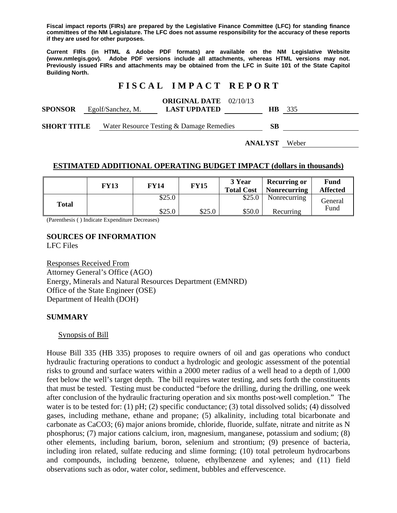**Fiscal impact reports (FIRs) are prepared by the Legislative Finance Committee (LFC) for standing finance committees of the NM Legislature. The LFC does not assume responsibility for the accuracy of these reports if they are used for other purposes.** 

**Current FIRs (in HTML & Adobe PDF formats) are available on the NM Legislative Website (www.nmlegis.gov). Adobe PDF versions include all attachments, whereas HTML versions may not. Previously issued FIRs and attachments may be obtained from the LFC in Suite 101 of the State Capitol Building North.**

## **F I S C A L I M P A C T R E P O R T**

| <b>SPONSOR</b>     |  | Egolf/Sanchez, M. | <b>ORIGINAL DATE</b> 02/10/13<br><b>LAST UPDATED</b> | HB. | 335 |
|--------------------|--|-------------------|------------------------------------------------------|-----|-----|
| <b>SHORT TITLE</b> |  |                   | Water Resource Testing & Damage Remedies             | SВ  |     |

**ANALYST** Weber

## **ESTIMATED ADDITIONAL OPERATING BUDGET IMPACT (dollars in thousands)**

|       | FY13 | FY14   | <b>FY15</b> | 3 Year<br><b>Total Cost</b> | <b>Recurring or</b><br><b>Nonrecurring</b> | Fund<br><b>Affected</b> |  |
|-------|------|--------|-------------|-----------------------------|--------------------------------------------|-------------------------|--|
| Total |      | \$25.0 |             | \$25.0                      | Nonrecurring                               | General<br>Fund         |  |
|       |      | \$25.0 | \$25.0      | \$50.0                      | Recurring                                  |                         |  |

(Parenthesis ( ) Indicate Expenditure Decreases)

# **SOURCES OF INFORMATION**

LFC Files

Responses Received From Attorney General's Office (AGO) Energy, Minerals and Natural Resources Department (EMNRD) Office of the State Engineer (OSE) Department of Health (DOH)

### **SUMMARY**

### Synopsis of Bill

House Bill 335 (HB 335) proposes to require owners of oil and gas operations who conduct hydraulic fracturing operations to conduct a hydrologic and geologic assessment of the potential risks to ground and surface waters within a 2000 meter radius of a well head to a depth of 1,000 feet below the well's target depth. The bill requires water testing, and sets forth the constituents that must be tested. Testing must be conducted "before the drilling, during the drilling, one week after conclusion of the hydraulic fracturing operation and six months post-well completion." The water is to be tested for: (1) pH; (2) specific conductance; (3) total dissolved solids; (4) dissolved gases, including methane, ethane and propane; (5) alkalinity, including total bicarbonate and carbonate as CaCO3; (6) major anions bromide, chloride, fluoride, sulfate, nitrate and nitrite as N phosphorus; (7) major cations calcium, iron, magnesium, manganese, potassium and sodium; (8) other elements, including barium, boron, selenium and strontium; (9) presence of bacteria, including iron related, sulfate reducing and slime forming; (10) total petroleum hydrocarbons and compounds, including benzene, toluene, ethylbenzene and xylenes; and (11) field observations such as odor, water color, sediment, bubbles and effervescence.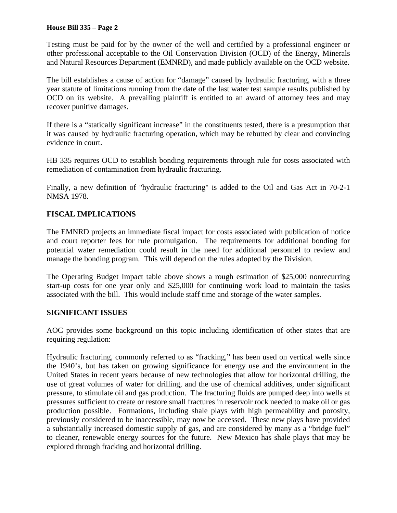#### **House Bill 335 – Page 2**

Testing must be paid for by the owner of the well and certified by a professional engineer or other professional acceptable to the Oil Conservation Division (OCD) of the Energy, Minerals and Natural Resources Department (EMNRD), and made publicly available on the OCD website.

The bill establishes a cause of action for "damage" caused by hydraulic fracturing, with a three year statute of limitations running from the date of the last water test sample results published by OCD on its website. A prevailing plaintiff is entitled to an award of attorney fees and may recover punitive damages.

If there is a "statically significant increase" in the constituents tested, there is a presumption that it was caused by hydraulic fracturing operation, which may be rebutted by clear and convincing evidence in court.

HB 335 requires OCD to establish bonding requirements through rule for costs associated with remediation of contamination from hydraulic fracturing.

Finally, a new definition of "hydraulic fracturing" is added to the Oil and Gas Act in 70-2-1 NMSA 1978.

## **FISCAL IMPLICATIONS**

The EMNRD projects an immediate fiscal impact for costs associated with publication of notice and court reporter fees for rule promulgation. The requirements for additional bonding for potential water remediation could result in the need for additional personnel to review and manage the bonding program. This will depend on the rules adopted by the Division.

The Operating Budget Impact table above shows a rough estimation of \$25,000 nonrecurring start-up costs for one year only and \$25,000 for continuing work load to maintain the tasks associated with the bill. This would include staff time and storage of the water samples.

### **SIGNIFICANT ISSUES**

AOC provides some background on this topic including identification of other states that are requiring regulation:

Hydraulic fracturing, commonly referred to as "fracking," has been used on vertical wells since the 1940's, but has taken on growing significance for energy use and the environment in the United States in recent years because of new technologies that allow for horizontal drilling, the use of great volumes of water for drilling, and the use of chemical additives, under significant pressure, to stimulate oil and gas production. The fracturing fluids are pumped deep into wells at pressures sufficient to create or restore small fractures in reservoir rock needed to make oil or gas production possible. Formations, including shale plays with high permeability and porosity, previously considered to be inaccessible, may now be accessed. These new plays have provided a substantially increased domestic supply of gas, and are considered by many as a "bridge fuel" to cleaner, renewable energy sources for the future. New Mexico has shale plays that may be explored through fracking and horizontal drilling.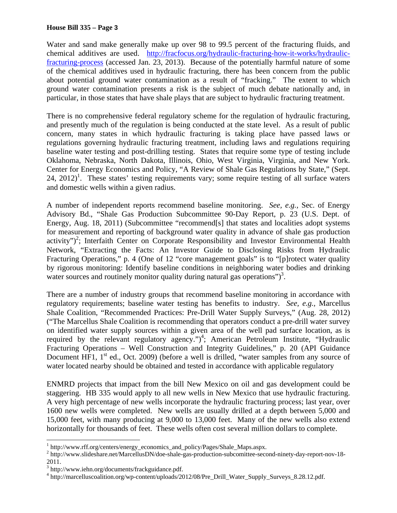Water and sand make generally make up over 98 to 99.5 percent of the fracturing fluids, and chemical additives are used. http://fracfocus.org/hydraulic-fracturing-how-it-works/hydraulicfracturing-process (accessed Jan. 23, 2013). Because of the potentially harmful nature of some of the chemical additives used in hydraulic fracturing, there has been concern from the public about potential ground water contamination as a result of "fracking." The extent to which ground water contamination presents a risk is the subject of much debate nationally and, in particular, in those states that have shale plays that are subject to hydraulic fracturing treatment.

There is no comprehensive federal regulatory scheme for the regulation of hydraulic fracturing, and presently much of the regulation is being conducted at the state level. As a result of public concern, many states in which hydraulic fracturing is taking place have passed laws or regulations governing hydraulic fracturing treatment, including laws and regulations requiring baseline water testing and post-drilling testing. States that require some type of testing include Oklahoma, Nebraska, North Dakota, Illinois, Ohio, West Virginia, Virginia, and New York. Center for Energy Economics and Policy, "A Review of Shale Gas Regulations by State," (Sept.  $24, 2012$ <sup>1</sup>. These states' testing requirements vary; some require testing of all surface waters and domestic wells within a given radius.

A number of independent reports recommend baseline monitoring. *See, e.g.,* Sec. of Energy Advisory Bd., "Shale Gas Production Subcommittee 90-Day Report, p. 23 (U.S. Dept. of Energy, Aug. 18, 2011) (Subcommittee "recommend[s] that states and localities adopt systems for measurement and reporting of background water quality in advance of shale gas production activity")<sup>2</sup>; Interfaith Center on Corporate Responsibility and Investor Environmental Health Network, "Extracting the Facts: An Investor Guide to Disclosing Risks from Hydraulic Fracturing Operations," p. 4 (One of 12 "core management goals" is to "[p]rotect water quality by rigorous monitoring: Identify baseline conditions in neighboring water bodies and drinking water sources and routinely monitor quality during natural gas operations")<sup>3</sup>.

There are a number of industry groups that recommend baseline monitoring in accordance with regulatory requirements; baseline water testing has benefits to industry. *See, e.g.,* Marcellus Shale Coalition, "Recommended Practices: Pre-Drill Water Supply Surveys," (Aug. 28, 2012) ("The Marcellus Shale Coalition is recommending that operators conduct a pre-drill water survey on identified water supply sources within a given area of the well pad surface location, as is required by the relevant regulatory agency.")<sup>4</sup>; American Petroleum Institute, "Hydraulic Fracturing Operations – Well Construction and Integrity Guidelines," p. 20 (API Guidance Document HF1,  $1<sup>st</sup>$  ed., Oct. 2009) (before a well is drilled, "water samples from any source of water located nearby should be obtained and tested in accordance with applicable regulatory

ENMRD projects that impact from the bill New Mexico on oil and gas development could be staggering. HB 335 would apply to all new wells in New Mexico that use hydraulic fracturing. A very high percentage of new wells incorporate the hydraulic fracturing process; last year, over 1600 new wells were completed. New wells are usually drilled at a depth between 5,000 and 15,000 feet, with many producing at 9,000 to 13,000 feet. Many of the new wells also extend horizontally for thousands of feet. These wells often cost several million dollars to complete.

l  $^{1}$  http://www.rff.org/centers/energy\_economics\_and\_policy/Pages/Shale\_Maps.aspx.<br> $^{2}$  http://www.clidechare.net/MarcellueDN/dee shale ges.negatetion subcomittee seed

<sup>&</sup>lt;sup>2</sup> http://www.slideshare.net/MarcellusDN/doe-shale-gas-production-subcomittee-second-ninety-day-report-nov-18-

<sup>2011.&</sup>lt;br><sup>3</sup> http://www.iehn.org/documents/frackguidance.pdf.

<sup>4</sup> http://marcelluscoalition.org/wp-content/uploads/2012/08/Pre\_Drill\_Water\_Supply\_Surveys\_8.28.12.pdf.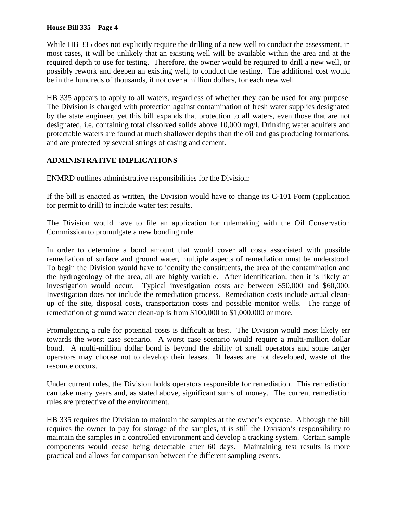#### **House Bill 335 – Page 4**

While HB 335 does not explicitly require the drilling of a new well to conduct the assessment, in most cases, it will be unlikely that an existing well will be available within the area and at the required depth to use for testing. Therefore, the owner would be required to drill a new well, or possibly rework and deepen an existing well, to conduct the testing. The additional cost would be in the hundreds of thousands, if not over a million dollars, for each new well.

HB 335 appears to apply to all waters, regardless of whether they can be used for any purpose. The Division is charged with protection against contamination of fresh water supplies designated by the state engineer, yet this bill expands that protection to all waters, even those that are not designated, i.e. containing total dissolved solids above 10,000 mg/l. Drinking water aquifers and protectable waters are found at much shallower depths than the oil and gas producing formations, and are protected by several strings of casing and cement.

## **ADMINISTRATIVE IMPLICATIONS**

ENMRD outlines administrative responsibilities for the Division:

If the bill is enacted as written, the Division would have to change its C-101 Form (application for permit to drill) to include water test results.

The Division would have to file an application for rulemaking with the Oil Conservation Commission to promulgate a new bonding rule.

In order to determine a bond amount that would cover all costs associated with possible remediation of surface and ground water, multiple aspects of remediation must be understood. To begin the Division would have to identify the constituents, the area of the contamination and the hydrogeology of the area, all are highly variable. After identification, then it is likely an investigation would occur. Typical investigation costs are between \$50,000 and \$60,000. Investigation does not include the remediation process. Remediation costs include actual cleanup of the site, disposal costs, transportation costs and possible monitor wells. The range of remediation of ground water clean-up is from \$100,000 to \$1,000,000 or more.

Promulgating a rule for potential costs is difficult at best. The Division would most likely err towards the worst case scenario. A worst case scenario would require a multi-million dollar bond. A multi-million dollar bond is beyond the ability of small operators and some larger operators may choose not to develop their leases. If leases are not developed, waste of the resource occurs.

Under current rules, the Division holds operators responsible for remediation. This remediation can take many years and, as stated above, significant sums of money. The current remediation rules are protective of the environment.

HB 335 requires the Division to maintain the samples at the owner's expense. Although the bill requires the owner to pay for storage of the samples, it is still the Division's responsibility to maintain the samples in a controlled environment and develop a tracking system. Certain sample components would cease being detectable after 60 days. Maintaining test results is more practical and allows for comparison between the different sampling events.